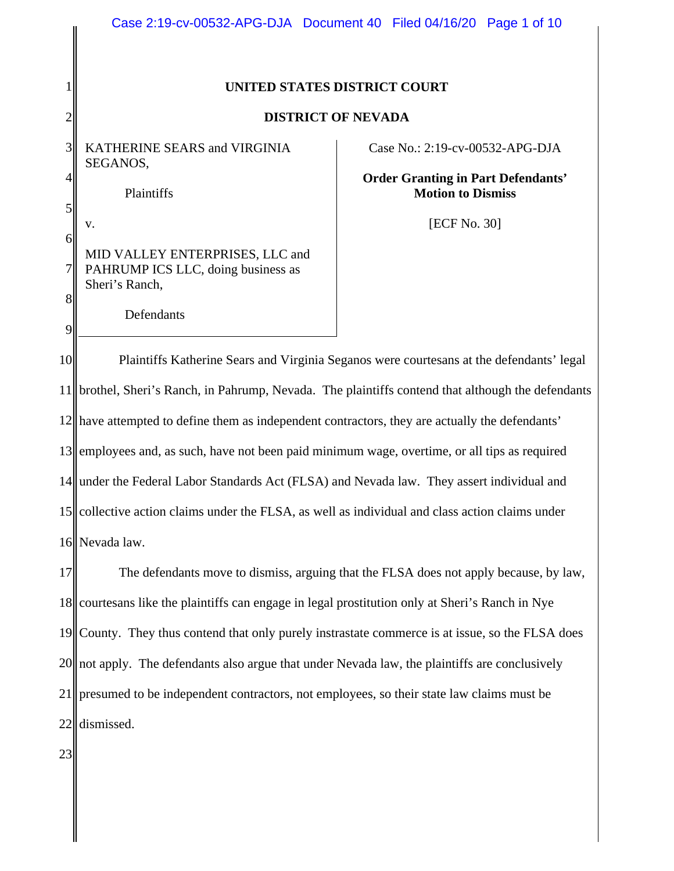|                            | Case 2:19-cv-00532-APG-DJA Document 40 Filed 04/16/20 Page 1 of 10                      |  |                                                                       |  |
|----------------------------|-----------------------------------------------------------------------------------------|--|-----------------------------------------------------------------------|--|
|                            | UNITED STATES DISTRICT COURT                                                            |  |                                                                       |  |
| $\overline{c}$             | <b>DISTRICT OF NEVADA</b>                                                               |  |                                                                       |  |
| 3 <sup>l</sup>             | <b>KATHERINE SEARS and VIRGINIA</b><br>SEGANOS,                                         |  | Case No.: 2:19-cv-00532-APG-DJA                                       |  |
| $\left 4\right $           | Plaintiffs                                                                              |  | <b>Order Granting in Part Defendants'</b><br><b>Motion to Dismiss</b> |  |
| $\mathfrak{S}$<br>$6\vert$ | v.                                                                                      |  | [ECF No. 30]                                                          |  |
| $\overline{7}$             | MID VALLEY ENTERPRISES, LLC and<br>PAHRUMP ICS LLC, doing business as                   |  |                                                                       |  |
| 8                          | Sheri's Ranch,<br>Defendants                                                            |  |                                                                       |  |
| 9<br> 0                    | Plaintiffs Katherine Sears and Virginia Seganos were courtes as at the defendants' lega |  |                                                                       |  |

10 11 12 have attempted to define them as independent contractors, they are actually the defendants' 13 14 15 collective action claims under the FLSA, as well as individual and class action claims under 16 Plaintiffs Katherine Sears and Virginia Seganos were courtesans at the defendants' legal brothel, Sheri's Ranch, in Pahrump, Nevada. The plaintiffs contend that although the defendants employees and, as such, have not been paid minimum wage, overtime, or all tips as required under the Federal Labor Standards Act (FLSA) and Nevada law. They assert individual and Nevada law.

17 18 19 20|| not apply. The defendants also argue that under Nevada law, the plaintiffs are conclusively 21 22 The defendants move to dismiss, arguing that the FLSA does not apply because, by law, courtesans like the plaintiffs can engage in legal prostitution only at Sheri's Ranch in Nye County. They thus contend that only purely instrastate commerce is at issue, so the FLSA does presumed to be independent contractors, not employees, so their state law claims must be dismissed.

23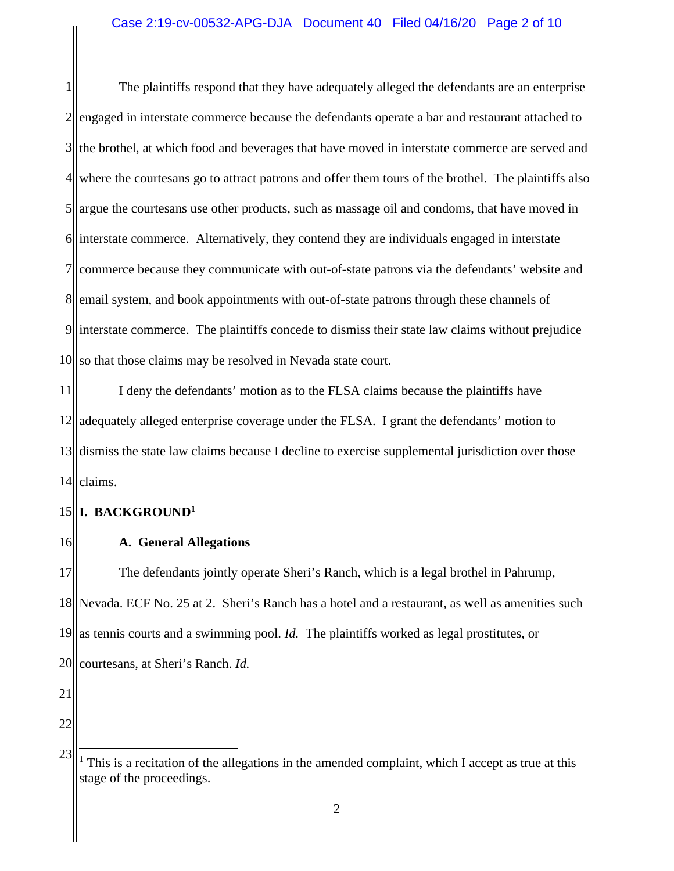1 2 3 4 5 6 7 8 9 10 The plaintiffs respond that they have adequately alleged the defendants are an enterprise engaged in interstate commerce because the defendants operate a bar and restaurant attached to the brothel, at which food and beverages that have moved in interstate commerce are served and where the courtesans go to attract patrons and offer them tours of the brothel. The plaintiffs also argue the courtesans use other products, such as massage oil and condoms, that have moved in interstate commerce. Alternatively, they contend they are individuals engaged in interstate commerce because they communicate with out-of-state patrons via the defendants' website and email system, and book appointments with out-of-state patrons through these channels of interstate commerce. The plaintiffs concede to dismiss their state law claims without prejudice so that those claims may be resolved in Nevada state court.

11 12 13 14 I deny the defendants' motion as to the FLSA claims because the plaintiffs have adequately alleged enterprise coverage under the FLSA. I grant the defendants' motion to dismiss the state law claims because I decline to exercise supplemental jurisdiction over those claims.

#### 15 **I. BACKGROUND1**

16 **A. General Allegations** 

17 18 19 20 The defendants jointly operate Sheri's Ranch, which is a legal brothel in Pahrump, Nevada. ECF No. 25 at 2. Sheri's Ranch has a hotel and a restaurant, as well as amenities such as tennis courts and a swimming pool. *Id.* The plaintiffs worked as legal prostitutes, or courtesans, at Sheri's Ranch. *Id.*

- 21
- 22

23

<sup>&</sup>lt;sup>1</sup> This is a recitation of the allegations in the amended complaint, which I accept as true at this stage of the proceedings.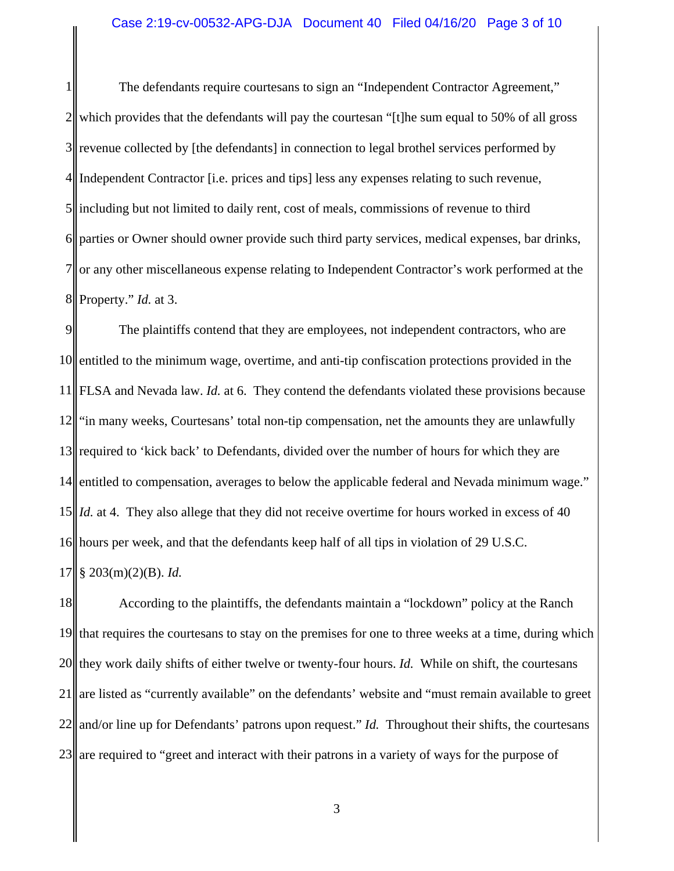1 2 3 4 5 6 7 8 The defendants require courtesans to sign an "Independent Contractor Agreement," which provides that the defendants will pay the courtesan "[t]he sum equal to 50% of all gross revenue collected by [the defendants] in connection to legal brothel services performed by Independent Contractor [i.e. prices and tips] less any expenses relating to such revenue, including but not limited to daily rent, cost of meals, commissions of revenue to third parties or Owner should owner provide such third party services, medical expenses, bar drinks, or any other miscellaneous expense relating to Independent Contractor's work performed at the Property." *Id.* at 3.

9 10 11 12 13 14 15 *Id.* at 4. They also allege that they did not receive overtime for hours worked in excess of 40 16 hours per week, and that the defendants keep half of all tips in violation of 29 U.S.C. 17 The plaintiffs contend that they are employees, not independent contractors, who are entitled to the minimum wage, overtime, and anti-tip confiscation protections provided in the FLSA and Nevada law. *Id.* at 6. They contend the defendants violated these provisions because "in many weeks, Courtesans' total non-tip compensation, net the amounts they are unlawfully required to 'kick back' to Defendants, divided over the number of hours for which they are entitled to compensation, averages to below the applicable federal and Nevada minimum wage." § 203(m)(2)(B). *Id.*

18 19 20 21 22 23 According to the plaintiffs, the defendants maintain a "lockdown" policy at the Ranch that requires the courtesans to stay on the premises for one to three weeks at a time, during which they work daily shifts of either twelve or twenty-four hours. *Id.* While on shift, the courtesans are listed as "currently available" on the defendants' website and "must remain available to greet and/or line up for Defendants' patrons upon request." *Id.* Throughout their shifts, the courtesans are required to "greet and interact with their patrons in a variety of ways for the purpose of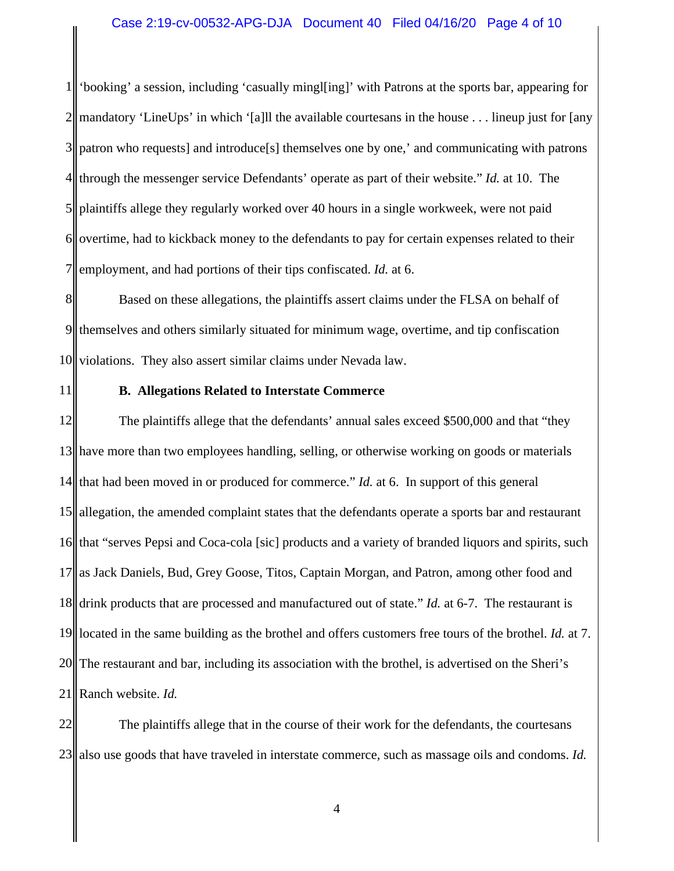1 2 3 4 5 6 7 'booking' a session, including 'casually mingl[ing]' with Patrons at the sports bar, appearing for mandatory 'LineUps' in which '[a]ll the available courtesans in the house . . . lineup just for [any patron who requests] and introduce[s] themselves one by one,' and communicating with patrons through the messenger service Defendants' operate as part of their website." *Id.* at 10. The plaintiffs allege they regularly worked over 40 hours in a single workweek, were not paid overtime, had to kickback money to the defendants to pay for certain expenses related to their employment, and had portions of their tips confiscated. *Id.* at 6.

8 9 10 Based on these allegations, the plaintiffs assert claims under the FLSA on behalf of themselves and others similarly situated for minimum wage, overtime, and tip confiscation violations. They also assert similar claims under Nevada law.

11

### **B. Allegations Related to Interstate Commerce**

12 13 have more than two employees handling, selling, or otherwise working on goods or materials  $14$ 15 allegation, the amended complaint states that the defendants operate a sports bar and restaurant 16 17 18 19 20 21 The plaintiffs allege that the defendants' annual sales exceed \$500,000 and that "they that had been moved in or produced for commerce." *Id.* at 6. In support of this general that "serves Pepsi and Coca-cola [sic] products and a variety of branded liquors and spirits, such as Jack Daniels, Bud, Grey Goose, Titos, Captain Morgan, and Patron, among other food and drink products that are processed and manufactured out of state." *Id.* at 6-7. The restaurant is located in the same building as the brothel and offers customers free tours of the brothel. *Id.* at 7. The restaurant and bar, including its association with the brothel, is advertised on the Sheri's Ranch website. *Id.*

22 23 The plaintiffs allege that in the course of their work for the defendants, the courtesans also use goods that have traveled in interstate commerce, such as massage oils and condoms. *Id.*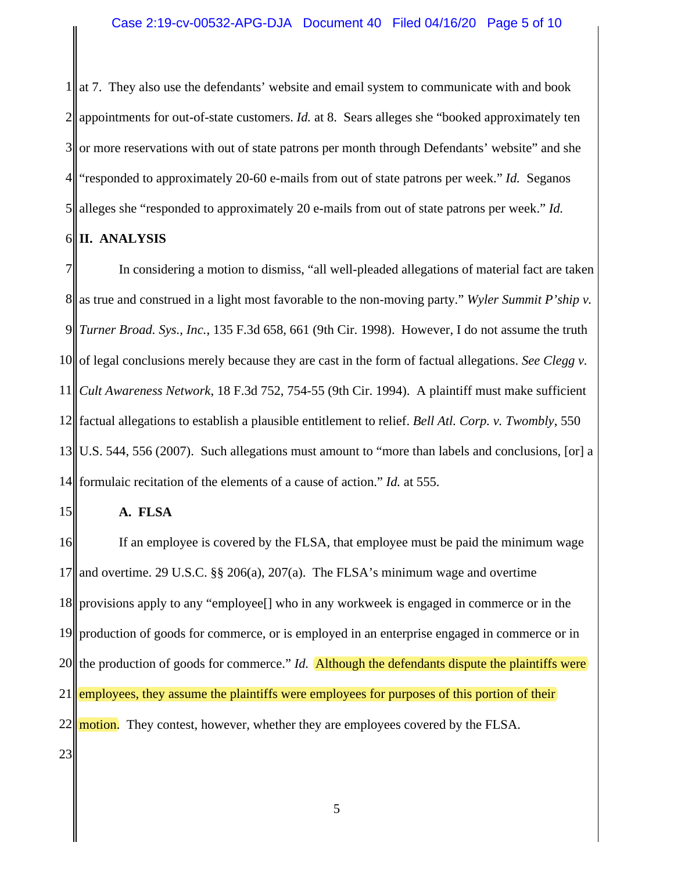1 2 3 4 5 at 7. They also use the defendants' website and email system to communicate with and book appointments for out-of-state customers. *Id.* at 8. Sears alleges she "booked approximately ten or more reservations with out of state patrons per month through Defendants' website" and she "responded to approximately 20-60 e-mails from out of state patrons per week." *Id.* Seganos alleges she "responded to approximately 20 e-mails from out of state patrons per week." *Id.*

#### 6 **II. ANALYSIS**

7 8 9 10 11 12 factual allegations to establish a plausible entitlement to relief. *Bell Atl. Corp. v. Twombly*, 550 13 14 In considering a motion to dismiss, "all well-pleaded allegations of material fact are taken as true and construed in a light most favorable to the non-moving party." *Wyler Summit P'ship v. Turner Broad. Sys., Inc.*, 135 F.3d 658, 661 (9th Cir. 1998). However, I do not assume the truth of legal conclusions merely because they are cast in the form of factual allegations. *See Clegg v. Cult Awareness Network*, 18 F.3d 752, 754-55 (9th Cir. 1994). A plaintiff must make sufficient U.S. 544, 556 (2007). Such allegations must amount to "more than labels and conclusions, [or] a formulaic recitation of the elements of a cause of action." *Id.* at 555.

### 15

# **A. FLSA**

16 17 18 19 20 21 22 23 If an employee is covered by the FLSA, that employee must be paid the minimum wage and overtime. 29 U.S.C. §§ 206(a), 207(a). The FLSA's minimum wage and overtime provisions apply to any "employee[] who in any workweek is engaged in commerce or in the production of goods for commerce, or is employed in an enterprise engaged in commerce or in the production of goods for commerce." *Id.* Although the defendants dispute the plaintiffs were employees, they assume the plaintiffs were employees for purposes of this portion of their motion. They contest, however, whether they are employees covered by the FLSA.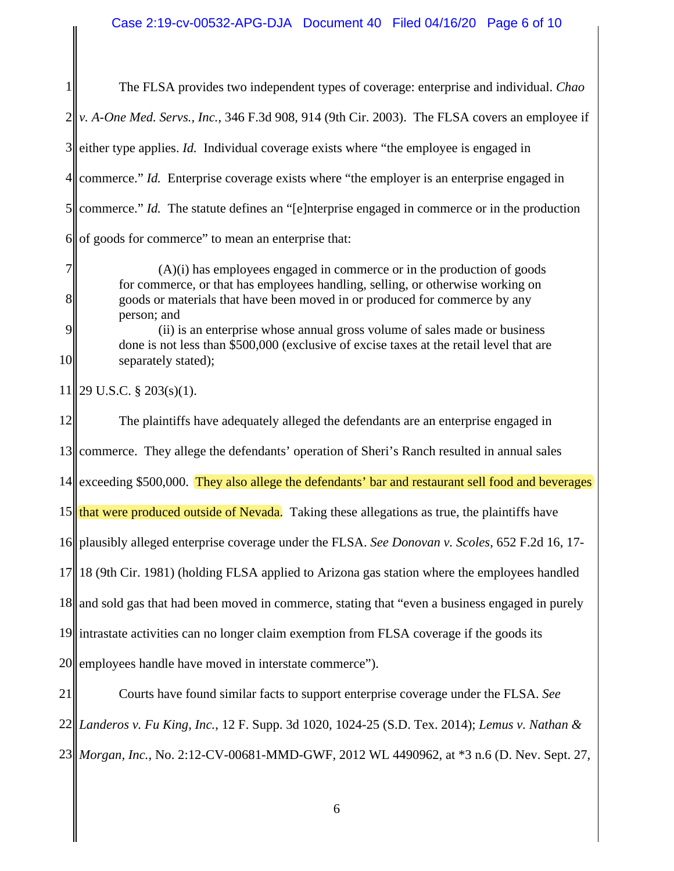1 2 3 4 5 6 The FLSA provides two independent types of coverage: enterprise and individual. *Chao v. A-One Med. Servs., Inc.*, 346 F.3d 908, 914 (9th Cir. 2003). The FLSA covers an employee if either type applies. *Id.* Individual coverage exists where "the employee is engaged in commerce." *Id.* Enterprise coverage exists where "the employer is an enterprise engaged in commerce." *Id.* The statute defines an "[e]nterprise engaged in commerce or in the production of goods for commerce" to mean an enterprise that:

 $(A)(i)$  has employees engaged in commerce or in the production of goods for commerce, or that has employees handling, selling, or otherwise working on goods or materials that have been moved in or produced for commerce by any person; and

(ii) is an enterprise whose annual gross volume of sales made or business done is not less than \$500,000 (exclusive of excise taxes at the retail level that are separately stated);

11 29 U.S.C. § 203(s)(1).

7

8

9

10

12 13 commerce. They allege the defendants' operation of Sheri's Ranch resulted in annual sales 14 15 that were produced outside of Nevada. Taking these allegations as true, the plaintiffs have 16 plausibly alleged enterprise coverage under the FLSA. *See Donovan v. Scoles*, 652 F.2d 16, 17- 17 18 19 20 21 The plaintiffs have adequately alleged the defendants are an enterprise engaged in exceeding \$500,000. They also allege the defendants' bar and restaurant sell food and beverages 18 (9th Cir. 1981) (holding FLSA applied to Arizona gas station where the employees handled and sold gas that had been moved in commerce, stating that "even a business engaged in purely intrastate activities can no longer claim exemption from FLSA coverage if the goods its employees handle have moved in interstate commerce"). Courts have found similar facts to support enterprise coverage under the FLSA. *See*

22 *Landeros v. Fu King, Inc.*, 12 F. Supp. 3d 1020, 1024-25 (S.D. Tex. 2014); *Lemus v. Nathan &*  23 *Morgan, Inc.*, No. 2:12-CV-00681-MMD-GWF, 2012 WL 4490962, at \*3 n.6 (D. Nev. Sept. 27,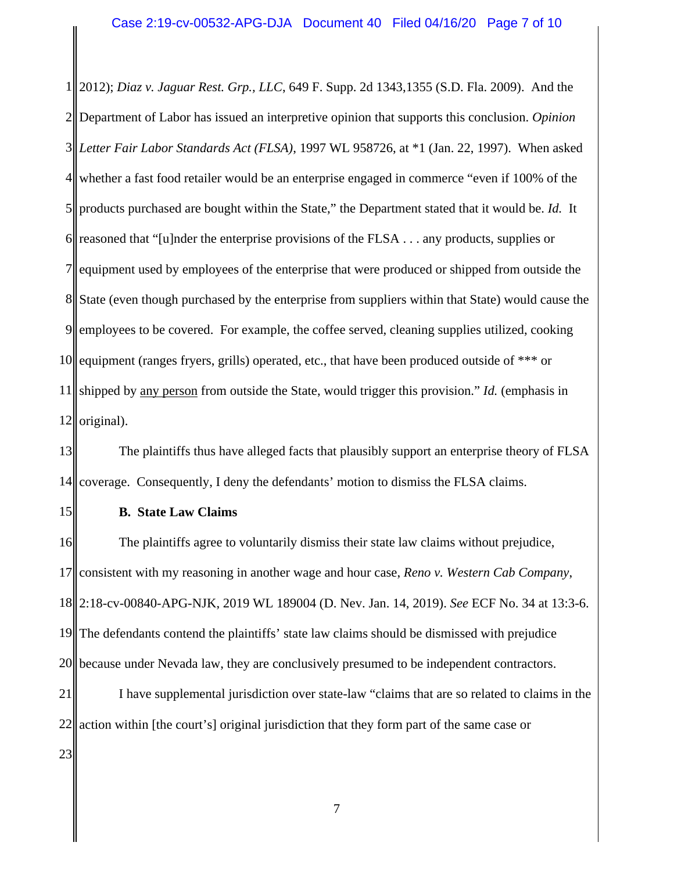1 2 3 4 5 6 7 8 9 10 11 12 2012); *Diaz v. Jaguar Rest. Grp., LLC*, 649 F. Supp. 2d 1343,1355 (S.D. Fla. 2009). And the Department of Labor has issued an interpretive opinion that supports this conclusion. *Opinion Letter Fair Labor Standards Act (FLSA)*, 1997 WL 958726, at \*1 (Jan. 22, 1997). When asked whether a fast food retailer would be an enterprise engaged in commerce "even if 100% of the products purchased are bought within the State," the Department stated that it would be. *Id.* It reasoned that "[u]nder the enterprise provisions of the FLSA . . . any products, supplies or equipment used by employees of the enterprise that were produced or shipped from outside the State (even though purchased by the enterprise from suppliers within that State) would cause the employees to be covered. For example, the coffee served, cleaning supplies utilized, cooking equipment (ranges fryers, grills) operated, etc., that have been produced outside of \*\*\* or shipped by any person from outside the State, would trigger this provision." *Id.* (emphasis in original).

13 14 The plaintiffs thus have alleged facts that plausibly support an enterprise theory of FLSA coverage. Consequently, I deny the defendants' motion to dismiss the FLSA claims.

15

## **B. State Law Claims**

16 17 18 2:18-cv-00840-APG-NJK, 2019 WL 189004 (D. Nev. Jan. 14, 2019). *See* ECF No. 34 at 13:3-6. 19 20 21 22 23 The plaintiffs agree to voluntarily dismiss their state law claims without prejudice, consistent with my reasoning in another wage and hour case, *Reno v. Western Cab Company*, The defendants contend the plaintiffs' state law claims should be dismissed with prejudice because under Nevada law, they are conclusively presumed to be independent contractors. I have supplemental jurisdiction over state-law "claims that are so related to claims in the action within [the court's] original jurisdiction that they form part of the same case or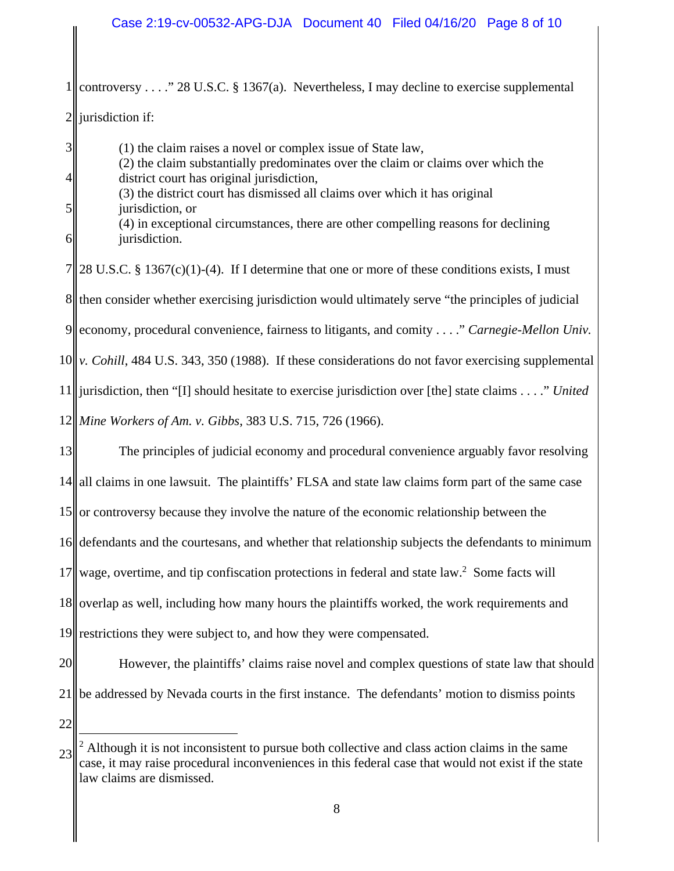# Case 2:19-cv-00532-APG-DJA Document 40 Filed 04/16/20 Page 8 of 10

1 2 controversy . . . ." 28 U.S.C. § 1367(a). Nevertheless, I may decline to exercise supplemental jurisdiction if:

(1) the claim raises a novel or complex issue of State law,

4 5 6 7 8 then consider whether exercising jurisdiction would ultimately serve "the principles of judicial 9 10 v. Cohill, 484 U.S. 343, 350 (1988). If these considerations do not favor exercising supplemental 11 jurisdiction, then "[I] should hesitate to exercise jurisdiction over [the] state claims . . . ." *United*  12 *Mine Workers of Am. v. Gibbs*, 383 U.S. 715, 726 (1966). (2) the claim substantially predominates over the claim or claims over which the district court has original jurisdiction, (3) the district court has dismissed all claims over which it has original jurisdiction, or (4) in exceptional circumstances, there are other compelling reasons for declining jurisdiction. 28 U.S.C. § 1367(c)(1)-(4). If I determine that one or more of these conditions exists, I must economy, procedural convenience, fairness to litigants, and comity . . . ." *Carnegie-Mellon Univ.* 

13 14|| all claims in one lawsuit. The plaintiffs' FLSA and state law claims form part of the same case 15 or controversy because they involve the nature of the economic relationship between the 16 defendants and the courtesans, and whether that relationship subjects the defendants to minimum 17 18 19 The principles of judicial economy and procedural convenience arguably favor resolving wage, overtime, and tip confiscation protections in federal and state law.<sup>2</sup> Some facts will overlap as well, including how many hours the plaintiffs worked, the work requirements and restrictions they were subject to, and how they were compensated.

20 21 However, the plaintiffs' claims raise novel and complex questions of state law that should be addressed by Nevada courts in the first instance. The defendants' motion to dismiss points

22

3

<sup>23</sup>  <sup>2</sup> Although it is not inconsistent to pursue both collective and class action claims in the same case, it may raise procedural inconveniences in this federal case that would not exist if the state law claims are dismissed.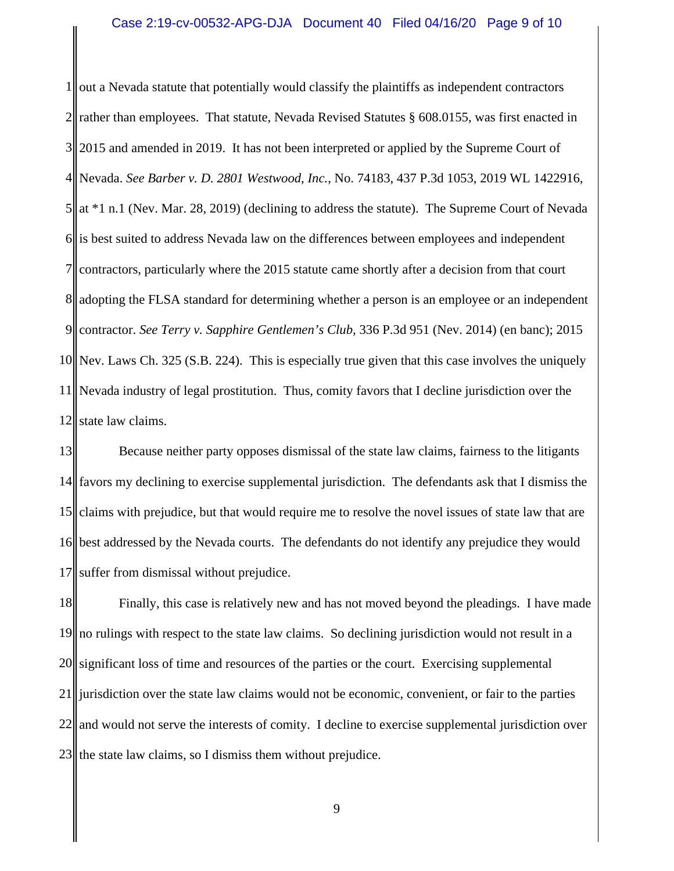1 2  $3<sup>||</sup>$ 4 Nevada. *See Barber v. D. 2801 Westwood, Inc.*, No. 74183, 437 P.3d 1053, 2019 WL 1422916, 5 6 7 8 9 10 11 12 out a Nevada statute that potentially would classify the plaintiffs as independent contractors rather than employees. That statute, Nevada Revised Statutes § 608.0155, was first enacted in 2015 and amended in 2019. It has not been interpreted or applied by the Supreme Court of at \*1 n.1 (Nev. Mar. 28, 2019) (declining to address the statute). The Supreme Court of Nevada is best suited to address Nevada law on the differences between employees and independent contractors, particularly where the 2015 statute came shortly after a decision from that court adopting the FLSA standard for determining whether a person is an employee or an independent contractor. *See Terry v. Sapphire Gentlemen's Club*, 336 P.3d 951 (Nev. 2014) (en banc); 2015 Nev. Laws Ch. 325 (S.B. 224). This is especially true given that this case involves the uniquely Nevada industry of legal prostitution. Thus, comity favors that I decline jurisdiction over the state law claims.

13 14 15 16 17 Because neither party opposes dismissal of the state law claims, fairness to the litigants favors my declining to exercise supplemental jurisdiction. The defendants ask that I dismiss the claims with prejudice, but that would require me to resolve the novel issues of state law that are best addressed by the Nevada courts. The defendants do not identify any prejudice they would suffer from dismissal without prejudice.

18 19 20 21 22 23 Finally, this case is relatively new and has not moved beyond the pleadings. I have made no rulings with respect to the state law claims. So declining jurisdiction would not result in a significant loss of time and resources of the parties or the court. Exercising supplemental jurisdiction over the state law claims would not be economic, convenient, or fair to the parties and would not serve the interests of comity. I decline to exercise supplemental jurisdiction over the state law claims, so I dismiss them without prejudice.